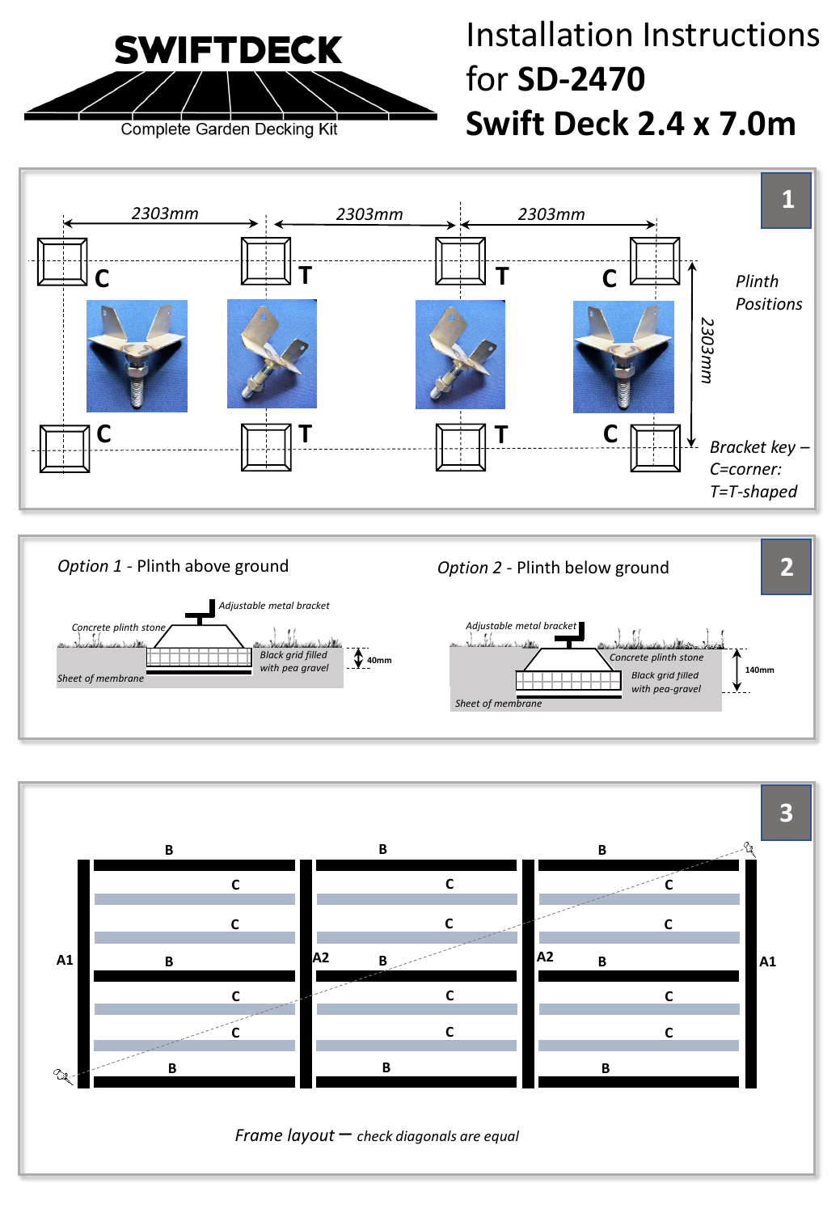

## Installation Instructions for **SD-2470 Swift Deck 2.4 x 7.0m**